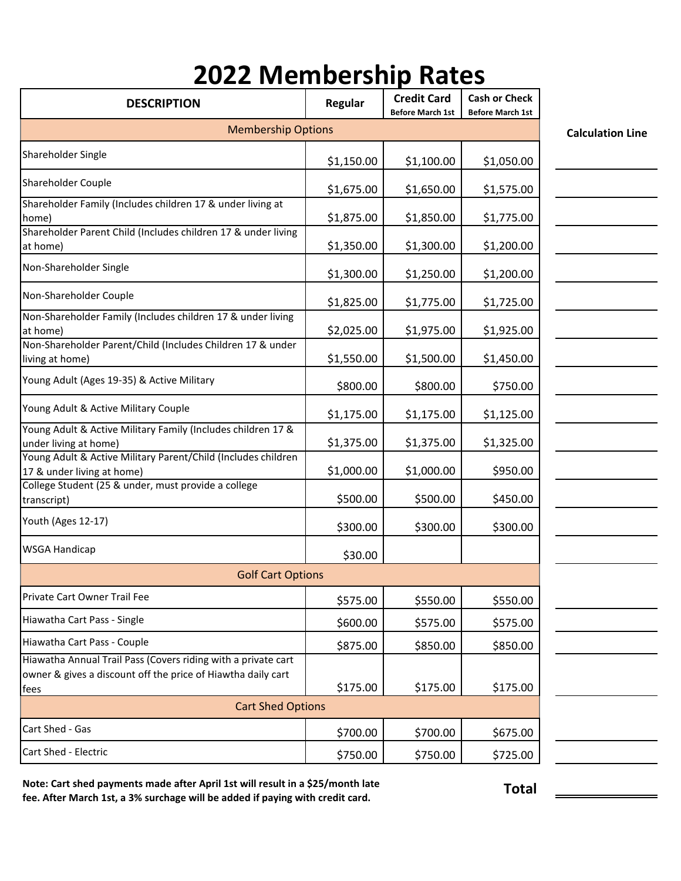## 2022 Membership Rates

| <b>DESCRIPTION</b>                                                                                                                    | Regular                  | <b>Credit Card</b><br><b>Before March 1st</b> | <b>Cash or Check</b><br><b>Before March 1st</b> |  |  |
|---------------------------------------------------------------------------------------------------------------------------------------|--------------------------|-----------------------------------------------|-------------------------------------------------|--|--|
| <b>Membership Options</b>                                                                                                             | <b>Calculation Line</b>  |                                               |                                                 |  |  |
| Shareholder Single                                                                                                                    | \$1,150.00               | \$1,100.00                                    | \$1,050.00                                      |  |  |
| Shareholder Couple                                                                                                                    | \$1,675.00               | \$1,650.00                                    | \$1,575.00                                      |  |  |
| Shareholder Family (Includes children 17 & under living at<br>home)                                                                   | \$1,875.00               | \$1,850.00                                    | \$1,775.00                                      |  |  |
| Shareholder Parent Child (Includes children 17 & under living<br>at home)                                                             | \$1,350.00               | \$1,300.00                                    | \$1,200.00                                      |  |  |
| Non-Shareholder Single                                                                                                                | \$1,300.00               | \$1,250.00                                    | \$1,200.00                                      |  |  |
| Non-Shareholder Couple                                                                                                                | \$1,825.00               | \$1,775.00                                    | \$1,725.00                                      |  |  |
| Non-Shareholder Family (Includes children 17 & under living<br>at home)                                                               | \$2,025.00               | \$1,975.00                                    | \$1,925.00                                      |  |  |
| Non-Shareholder Parent/Child (Includes Children 17 & under<br>living at home)                                                         | \$1,550.00               | \$1,500.00                                    | \$1,450.00                                      |  |  |
| Young Adult (Ages 19-35) & Active Military                                                                                            | \$800.00                 | \$800.00                                      | \$750.00                                        |  |  |
| Young Adult & Active Military Couple                                                                                                  | \$1,175.00               | \$1,175.00                                    | \$1,125.00                                      |  |  |
| Young Adult & Active Military Family (Includes children 17 &<br>under living at home)                                                 | \$1,375.00               | \$1,375.00                                    | \$1,325.00                                      |  |  |
| Young Adult & Active Military Parent/Child (Includes children<br>17 & under living at home)                                           | \$1,000.00               | \$1,000.00                                    | \$950.00                                        |  |  |
| College Student (25 & under, must provide a college<br>transcript)                                                                    | \$500.00                 | \$500.00                                      | \$450.00                                        |  |  |
| Youth (Ages 12-17)                                                                                                                    | \$300.00                 | \$300.00                                      | \$300.00                                        |  |  |
| <b>WSGA Handicap</b>                                                                                                                  | \$30.00                  |                                               |                                                 |  |  |
| <b>Golf Cart Options</b>                                                                                                              |                          |                                               |                                                 |  |  |
| Private Cart Owner Trail Fee                                                                                                          | \$575.00                 | \$550.00                                      | \$550.00                                        |  |  |
| Hiawatha Cart Pass - Single                                                                                                           | \$600.00                 | \$575.00                                      | \$575.00                                        |  |  |
| Hiawatha Cart Pass - Couple                                                                                                           | \$875.00                 | \$850.00                                      | \$850.00                                        |  |  |
| Hiawatha Annual Trail Pass (Covers riding with a private cart<br>owner & gives a discount off the price of Hiawtha daily cart<br>fees | \$175.00                 | \$175.00                                      | \$175.00                                        |  |  |
|                                                                                                                                       | <b>Cart Shed Options</b> |                                               |                                                 |  |  |
| Cart Shed - Gas                                                                                                                       | \$700.00                 | \$700.00                                      | \$675.00                                        |  |  |
| Cart Shed - Electric                                                                                                                  | \$750.00                 | \$750.00                                      | \$725.00                                        |  |  |

Note: Cart shed payments made after April 1st will result in a \$25/month late fee. After March 1st, a 3% surchage will be added if paying with credit card.

Total